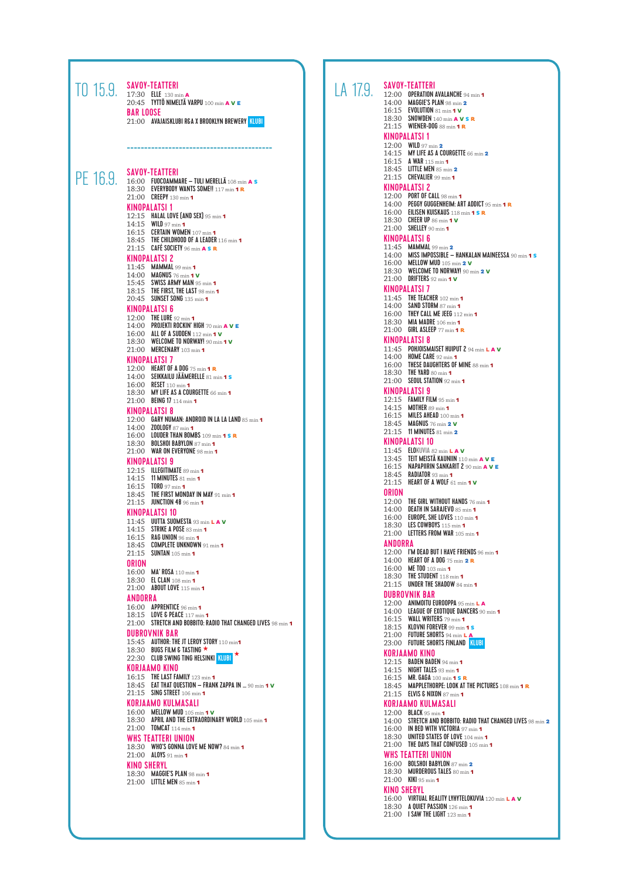|          | TO 15.9. SAVOY-TEATTERI<br>20:45 TYTTÖ NIMELTÄ VARPU 100 min A V E<br><b>BAR LOOSE</b><br>21:00 AVAJAISKLUBI R&A X BROOKLYN BREWERY KLUBI                                                                                                                                                                                                                                                                                                                                                                                                                                                                                                                                                                                                                                                                                                                                                                                                                                                                                                                                                                                                                                                                                                                                                                                                                                                                                                                                                                                                                                                                                                                                                                                                                                                                                                                                                                                                                                                                                                                                                                                                                                                                                                                                                                                                                                                                                                                                        | LA 17.9. | <b>SAVOY-TEATTERI</b><br>12:00 OPERATION AVALANCHE 94 min 1<br>14:00 MAGGIE'S PLAN 98 min $2$<br>16:15 EVOLUTION 81 min 1 V<br>18:30 SNOWDEN 140 min A V S R<br>21:15 WIENER-DOG 88 min 1 R                                                                                                                                                                                                                                                                                                                                                                                                                                                                                                                                                                                                                                                                                                                                                                                                                                                                                                                                                                                                                                                                                                                                                                                                                                                                                                                                                                                                                                                                                                                                                                                                                                                                                                                                                                                                                                                                                                                                                                                                                                                                                                                                                                                                                                                                                                                |
|----------|----------------------------------------------------------------------------------------------------------------------------------------------------------------------------------------------------------------------------------------------------------------------------------------------------------------------------------------------------------------------------------------------------------------------------------------------------------------------------------------------------------------------------------------------------------------------------------------------------------------------------------------------------------------------------------------------------------------------------------------------------------------------------------------------------------------------------------------------------------------------------------------------------------------------------------------------------------------------------------------------------------------------------------------------------------------------------------------------------------------------------------------------------------------------------------------------------------------------------------------------------------------------------------------------------------------------------------------------------------------------------------------------------------------------------------------------------------------------------------------------------------------------------------------------------------------------------------------------------------------------------------------------------------------------------------------------------------------------------------------------------------------------------------------------------------------------------------------------------------------------------------------------------------------------------------------------------------------------------------------------------------------------------------------------------------------------------------------------------------------------------------------------------------------------------------------------------------------------------------------------------------------------------------------------------------------------------------------------------------------------------------------------------------------------------------------------------------------------------------|----------|------------------------------------------------------------------------------------------------------------------------------------------------------------------------------------------------------------------------------------------------------------------------------------------------------------------------------------------------------------------------------------------------------------------------------------------------------------------------------------------------------------------------------------------------------------------------------------------------------------------------------------------------------------------------------------------------------------------------------------------------------------------------------------------------------------------------------------------------------------------------------------------------------------------------------------------------------------------------------------------------------------------------------------------------------------------------------------------------------------------------------------------------------------------------------------------------------------------------------------------------------------------------------------------------------------------------------------------------------------------------------------------------------------------------------------------------------------------------------------------------------------------------------------------------------------------------------------------------------------------------------------------------------------------------------------------------------------------------------------------------------------------------------------------------------------------------------------------------------------------------------------------------------------------------------------------------------------------------------------------------------------------------------------------------------------------------------------------------------------------------------------------------------------------------------------------------------------------------------------------------------------------------------------------------------------------------------------------------------------------------------------------------------------------------------------------------------------------------------------------------------------|
| PE 16.9. | <b>SAVOY-TEATTERI</b><br>16:00 FUOCOAMMARE - TULI MERELLÄ 108 min A S<br>18:30 EVERYBODY WANTS SOME !! 117 min 1 R<br>21:00 CREEPY 130 min 1<br><b>KINOPALATSI 1</b><br>12:15 HALAL LOVE $[AND$ SEX $]$ 95 min 1<br>14:15 WILD 97 min 1<br>16:15 CERTAIN WOMEN 107 min 1<br>18:45 THE CHILDHOOD OF A LEADER 116 min 1<br>21:15 CAFÉ SOCIETY 96 min $A S R$<br><b>KINOPALATSI 2</b><br>11:45 MAMMAL 99 min 1<br>14:00 <b>MAGNUS</b> 76 min 1 <b>v</b><br>15:45 SWISS ARMY MAN 95 min 1<br>18:15 THE FIRST, THE LAST $98 \text{ min } 1$<br>20:45 SUNSET SONG 135 min 1<br><b>KINOPALATSI 6</b><br>12:00 THE LURE 92 min 1<br>14:00 PROJEKTI ROCKIN' HIGH 70 min $A$ V E<br>16:00 ALL OF A SUDDEN 112 min 1 V<br>18:30 WELCOME TO NORWAY! 90 min 1 V<br>21:00 MERCENARY 103 min 1<br><b>KINOPALATSI 7</b><br>12:00 HEART OF A DOG 75 min 1 R<br>14:00 SEIKKAILU JÄÄMERELLE 81 min 1 S<br>16:00 RESET 110 min 1<br>18:30 MY LIFE AS A COURGETTE 66 min 1<br>21:00 BEING 17 114 min 1<br><b>KINOPALATSI 8</b><br>12:00 GARY NUMAN: ANDROID IN LA LA LAND 85 min 1<br>14:00 <b>ZOOLOGY</b> 87 min 1<br>16:00 LOUDER THAN BOMBS 109 min 1 S R<br>18:30 BOLSHOI BABYLON 87 min 1<br>21:00 WAR ON EVERYONE 98 min 1<br><b>KINOPALATSI 9</b><br>12:15 ILLEGITIMATE 89 min 1<br>14:15 11 MINUTES 81 min 1<br>16:15 TORO 97 min 1<br>18:45 THE FIRST MONDAY IN MAY 91 min 1<br>21:15 <b>JUNCTION 48</b> 96 min 1<br><b>KINOPALATSI 10</b><br>11:45 UUTTA SUOMESTA 93 min LAV<br>14:15 STRIKE A POSE 83 min 1<br>16:15 <b>RAG UNION</b> 96 min $\textbf{1}$<br>$18:45$ COMPLETE UNKNOWN $91$ min 1<br>21:15 SUNTAN 105 min 1<br>ORION<br>16:00 MA' ROSA 110 min 1<br>18:30 EL CLAN 108 min 1<br>21:00 ABOUT LOVE 115 min 1<br>ANDORRA<br>16:00 APPRENTICE 96 min 1<br>18:15 LOVE & PEACE 117 min 1<br>21:00 STRETCH AND BOBBITO: RADIO THAT CHANGED LIVES 98 min 1<br><b>DUBROVNIK BAR</b><br>15:45 AUTHOR: THE JT LEROY STORY 110 min1<br>18:30 BUGS FILM & TASTING $\star$<br>22:30 CLUB SWING TING HELSINKI KLUBI *<br>KORJAAMO KINO<br>16:15 THE LAST FAMILY 123 min 1<br>18:45 EAT THAT QUESTION - FRANK ZAPPA IN  90 min 1 V<br>21:15 SING STREET 106 min 1<br><b>KORJAAMO KULMASALI</b><br>16:00 MELLOW MUD 105 min 1 V<br>18:30 APRIL AND THE EXTRAORDINARY WORLD 105 min 1<br>21:00 <b>TOMCAT</b> 114 min 1<br>WHS TEATTERI UNION<br>18:30  WHO'S GONNA LOVE ME NOW? 84 min 1<br>21:00 $\frac{\text{AlOVS}}{91 \text{ min.}}$<br><b>KINO SHERYL</b><br>18:30 MAGGIE'S PLAN 98 min 1 |          | <b>KINOPALATSI 1</b><br>12:00 WILD 97 min 2<br>14:15 MY LIFE AS A COURGETTE 66 min<br>16:15 A WAR 115 min 1<br>18:45 LITTLE MEN 85 min 2<br>$21:15$ CHEVALIER 99 min 1<br><b>KINOPALATSI 2</b><br>12:00 PORT OF CALL 98 min 1<br>14:00 PEGGY GUGGENHEIM: ART ADDICT<br>16:00 EILISEN KUISKAUS 118 min 1 S F<br>18:30 CHEER UP 86 min 1 V<br>21:00 SHELLEY 90 min 1<br><b>KINOPALATSI 6</b><br>11:45 MAMMAL 99 min $2$<br>14:00 MISS IMPOSSIBLE - HANKALAN I<br>16:00 MELLOW MUD 105 min 2 V<br>18:30 WELCOME TO NORWAY! 90 min 2<br>21:00 DRIFTERS 92 min $\sim$<br><b>KINOPALATSI 7</b><br>11:45 THE TEACHER 102 min 1<br>14:00 SAND STORM 87 min 1<br>16:00 THEY CALL ME JEEG 112 min 1<br>18:30 MIA MADRE 106 min 1<br>21:00 GIRL ASLEEP 77 min 1 R<br><b>KINOPALATSI 8</b><br>11:45 POHJOISMAISET HUIPUT 2 94 mir<br>14:00 HOME CARE 92 min 1<br>$16:00$ THESE DAUGHTERS OF MINE $88\,\mathrm{m}$<br>18:30 THE YARD 80 min 1<br>21:00 SEOUL STATION 92 min 1<br><b>KINOPALATSI 9</b><br>12:15 FAMILY FILM 95 min 1<br>14:15 MOTHER 89 min 1<br>16:15 MILES AHEAD 100 min 1<br>18:45 MAGNUS 76 min 2 V<br>21:15 11 MINUTES 81 min 2<br><b>KINOPALATSI 10</b><br>11:45 ELOKUVIA 82 min L A V<br>13:45 TEIT MEISTÄ KAUNIIN 110 min A<br>16:15 NAPAPIIRIN SANKARIT 2 90 min<br>18:45 <b>RADIATOR</b> 93 min 1<br>21:15 HEART OF A WOLF 61 min 1 V<br>ORION<br>12:00 THE GIRL WITHOUT HANDS 76 min<br>14:00 DEATH IN SARAJEVO 85 min 1<br>16:00 EUROPE, SHE LOVES 110 min 1<br>18:30 LES COWBOYS 115 min 1<br>21:00 LETTERS FROM WAR 105 min 1<br>ANDORRA<br>12:00 I'M DEAD BUT I HAVE FRIENDS 96<br>14:00 HEART OF A DOG 75 min 2 R<br>16:00 ME TOO 103 min 1<br>18:30 THE STUDENT 118 min 1<br>21:15 UNDER THE SHADOW 84 min 1<br><b>DUBROVNIK BAR</b><br>12:00 ANIMOITU EUROOPPA 95 min L A<br>14:00 LEAGUE OF EXOTIOUE DANCERS 90<br>16:15 WALL WRITERS 79 min 1<br>18:15 KLOVNI FOREVER 99 min 1 s<br>21:00 FUTURE SHORTS $94 \text{ min } L$ A<br>23:00 FUTURE SHORTS FINLAND KLUBI<br><b>KORJAAMO KINO</b><br>12:15 BADEN BADEN 94 min 1<br>14:15 NIGHT TALES 93 min 1<br>16:15 MR. GAGA 100 min 1 SR<br>18:45 MAPPLETHORPE: LOOK AT THE PIC<br>21:15 ELVIS & NIXON 87 min 1<br><b>KORJAAMO KULMASALI</b><br>12:00 BLACK 95 min 1<br>14:00 STRETCH AND BOBBITO: RADIO TH<br>$16:00$ IN BED WITH VICTORIA 97 min 1<br>18:30 UNITED STATES OF LOVE 104 min<br>$21:00$ THE DAYS THAT CONFUSED $105 \text{ m}$<br>WHS TEATTERI UNION<br>16:00 BOLSHOI BABYLON 87 min 2<br>18:30 MURDEROUS TALES 80 min 1 |
|          | $21:00$ LITTLE MEN 85 min 1                                                                                                                                                                                                                                                                                                                                                                                                                                                                                                                                                                                                                                                                                                                                                                                                                                                                                                                                                                                                                                                                                                                                                                                                                                                                                                                                                                                                                                                                                                                                                                                                                                                                                                                                                                                                                                                                                                                                                                                                                                                                                                                                                                                                                                                                                                                                                                                                                                                      |          | 21:00 KIKI 95 min 1<br><b>KINO SHERYL</b><br>16:00 VIRTUAL REALITY LYHYTELOKUVIA<br>$18:30$ A BUIFT PASSION 126 min 1                                                                                                                                                                                                                                                                                                                                                                                                                                                                                                                                                                                                                                                                                                                                                                                                                                                                                                                                                                                                                                                                                                                                                                                                                                                                                                                                                                                                                                                                                                                                                                                                                                                                                                                                                                                                                                                                                                                                                                                                                                                                                                                                                                                                                                                                                                                                                                                      |

|                    | SAVUY-IEAIIEKI                                                                            |
|--------------------|-------------------------------------------------------------------------------------------|
| 12:00              | <b>OPERATION AVALANCHE 94 min 1</b>                                                       |
|                    | 14:00 MAGGIE'S PLAN 98 min 2                                                              |
|                    | 16:15 <b>EVOLUTION</b> 81 min 1 V                                                         |
|                    | 18:30 SNOWDEN 140 min A V S R                                                             |
|                    | 21:15 WIENER-DOG 88 min 1 R                                                               |
|                    | KINOPALATSI 1                                                                             |
|                    | 12:00 WILD 97 min 2                                                                       |
| 14:15              | MY LIFE AS A COURGETTE 66 min 2                                                           |
|                    | 16:15 A WAR 115 min 1                                                                     |
| 18:45              | <b>LITTLE MEN</b> $85 \text{ min}$ <b>2</b>                                               |
|                    | $21:15$ CHEVALIER 99 $\rm{min}$ 1                                                         |
|                    | KINOPALATSI 2                                                                             |
|                    | 12:00 PORT OF CALL 98 min 1                                                               |
|                    | 14:00 PEGGY GUGGENHEIM: ART ADDICT 95 min 1 R                                             |
|                    | 16:00 <b>EILISEN KUISKAUS</b> 118 min <b>1 S R</b>                                        |
|                    | 18:30 CHEER UP 86 min 1 V                                                                 |
|                    | 21:00 SHELLEY 90 min 1                                                                    |
|                    | KINOPALATSI 6                                                                             |
|                    | $11:45$ MAMMAL 99 min $2$                                                                 |
|                    | 14:00 MISS IMPOSSIBLE - HANKALAN MAINEESSA 90 min 1 s                                     |
|                    | 16:00 <b>MELLOW MUD</b> 105 min <b>2 V</b>                                                |
|                    | 18:30 WELCOME TO NORWAY! $90 \text{ min } 2 \text{ V}$                                    |
|                    | 21:00 DRIFTERS 92 min 1 V                                                                 |
|                    |                                                                                           |
|                    | <b>KINOPALATSI 7</b>                                                                      |
|                    | 11:45 THE TEACHER 102 min 1                                                               |
|                    | $14:00$ SAND STORM 87 min 1                                                               |
|                    | 16:00 THEY CALL ME JEEG 112 min 1                                                         |
|                    | 18:30 MIA MADRE 106 min 1                                                                 |
|                    | 21:00 GIRL ASLEEP 77 min 1 R                                                              |
|                    | <b>KINOPALATSI 8</b>                                                                      |
|                    | 11:45 POHJOISMAISET HUIPUT 2 94 min L A V                                                 |
|                    | 14:00 HOME CARE 92 min 1                                                                  |
|                    | $16:00$ THESE DAUGHTERS OF MINE 88 min 1                                                  |
|                    | $18:30$ THE YARD $80 \text{ min}$ 1                                                       |
|                    | $21:00$ SEOUL STATION 92 min 1                                                            |
|                    | KINOPALATSI 9                                                                             |
|                    | 12:15 FAMILY FILM 95 min 1                                                                |
| 14:15              | MOTHER 89 $\mathrm{min}$ 1                                                                |
|                    | 16:15 <b>MILES AHEAD</b> 100 min <b>1</b>                                                 |
| 18:45              | MAGNUS 76 min 2 V                                                                         |
|                    | $21:15$ 11 MINUTES $81 \text{ min } 2$                                                    |
|                    | KINOPALATSI 10                                                                            |
|                    | 11:45 ELOKUVIA 82 min L A V                                                               |
| 13:45              | <b>TEIT MEISTA KAUNIIN</b> 110 min A V E                                                  |
| 16:15              | <b>NAPAPIIRIN SANKARIT 2</b> 90 min A V E                                                 |
| 18:45              | <b>RADIATOR</b> 93 min 1                                                                  |
| 21:15              | HEART OF A WOLF $61 \text{ min}$ 1 V                                                      |
| ORION              |                                                                                           |
|                    | 12:00 THE GIRL WITHOUT HANDS 76 min 1                                                     |
|                    | 14:00 DEATH IN SARAJEVO 85 min 1                                                          |
| 16:00              | EUROPE, SHE LOVES 110 min 1                                                               |
| 18:30              | LES COWBOYS 115 min $1$                                                                   |
|                    | 21:00 LETTERS FROM WAR 105 min 1                                                          |
| ANDORRA            |                                                                                           |
|                    |                                                                                           |
|                    | $12:00$ I'M DEAD BUT I HAVE FRIENDS $96 \text{ min}$ 1<br>14:00 HEART OF A DOG 75 min 2 R |
|                    | 16:00 ME TOO 103 min 1                                                                    |
|                    | 18:30 THE STUDENT 118 min 1                                                               |
|                    | $21:15$ UNDER THE SHADOW 84 min 1                                                         |
|                    | <b>DUBROVNIK BAR</b>                                                                      |
|                    |                                                                                           |
|                    | 12:00 ANIMOITU EUROOPPA 95 min L A                                                        |
|                    | 14:00 LEAGUE OF EXOTIQUE DANCERS 90 min 1                                                 |
|                    | 16:15 WALL WRITERS 79 min 1<br>18:15 KLOVNI FOREVER 99 min 1 s                            |
|                    | 21:00 FUTURE SHORTS 94 min LA                                                             |
|                    | 23:00 FUTURE SHORTS FINLAND KLUBI                                                         |
|                    |                                                                                           |
|                    | KORJAAMO KINO                                                                             |
| 12:15              | <b>BADEN BADEN 94 min 1</b><br>NIGHT TALES 93 min 1                                       |
|                    |                                                                                           |
| 14:15              |                                                                                           |
|                    | 16:15 MR. GAGA 100 min 1 SR                                                               |
|                    | $18:45$ MAPPLETHORPE: LOOK AT THE PICTURES $108 \min$ 1 R                                 |
|                    | 21:15 ELVIS & NIXON 87 min 1                                                              |
|                    | KORJAAMO KULMASALI                                                                        |
|                    | 12:00 BLACK 95 min 1                                                                      |
| 14:00              | STRETCH AND BOBBITO: RADIO THAT CHANGED LIVES 98 min 2                                    |
|                    | $16:00$ IN BED WITH VICTORIA 97 min 1                                                     |
|                    | 18:30 UNITED STATES OF LOVE 104 min 1                                                     |
|                    | $21:00$ THE DAYS THAT CONFUSED $105 \text{ min}$ 1                                        |
|                    | <b><i>WHS TEATTERI UNION</i></b>                                                          |
| 16:00              | <b>BOLSHOI BABYLON 87 min 2</b>                                                           |
| 18:30              | <b>MURDEROUS TALES 80 min 1</b>                                                           |
|                    | $21:00$ KIKI 95 min 1                                                                     |
| <b>KINO SHERYL</b> |                                                                                           |
|                    | 16:00 VIRTUAL REALITY LYHYTELOKUVIA 120 min L A V                                         |
|                    | 18:30 A QUIET PASSION 126 min 1<br>$21:00$ I SAW THE LIGHT 123 min 1                      |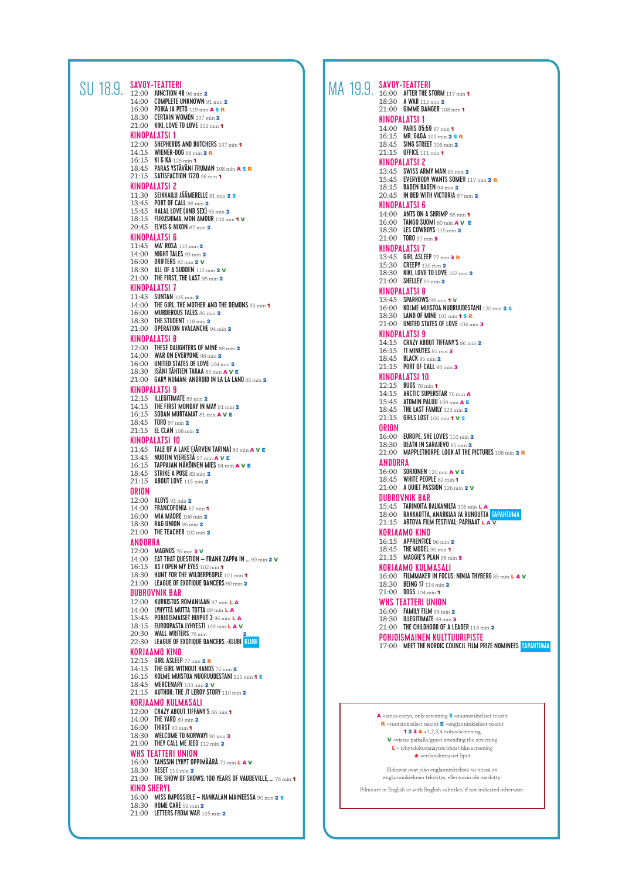|  | <b>SAVOY-TEATTERI</b><br>SU 18.9. SAVUY-ILAITENI                                              |  | MA 19.9. SAVUY-ILATILKI<br>MA 19.9. 16:00 AFTER THE STORM 117 min 1                    |
|--|-----------------------------------------------------------------------------------------------|--|----------------------------------------------------------------------------------------|
|  | $14:00$ COMPLETE UNKNOWN $91$ min $2$                                                         |  | 18:30 A WAR 115 min 2                                                                  |
|  | 16:00 POIKA JA PETO 119 min $\overline{A}$ s R<br>18:30 CERTAIN WOMEN 107 min 2               |  | 21:00 GIMME DANGER 108 min 1<br>KINOPALATSI 1                                          |
|  | 21:00 KIKI, LOVE TO LOVE 102 min 1<br><b>KINOPALATSI 1</b>                                    |  | 14:00 PARIS 05:59 97 min 1                                                             |
|  | 12:00 SHEPHERDS AND BUTCHERS 107 min 1                                                        |  | 16:15 MR. GAGA 100 min 2 SR<br>18:45 SING STREET 106 min 2                             |
|  | 14:15 <b>WIENER-DOG</b> 88 min <b>2 R</b><br>16:15 KI & KA 126 min 1                          |  | 21:15 OFFICE 111 min 1<br><b>KINOPALATSI 2</b>                                         |
|  | 18:45 PARAS YSTÄVÄNI TRUMAN 108 min A S R<br>21:15 SATISFACTION 1720 98 min 1                 |  | 13:45 SWISS ARMY MAN 95 min 2                                                          |
|  | <b>KINOPALATSI 2</b>                                                                          |  | 15:45 EVERYBODY WANTS SOME !!!<br>18:15 <b>BADEN BADEN</b> 94 min 2                    |
|  | 11:30 SEIKKAILU JÄÄMERELLE 81 min 2 S<br>13:45 PORT OF CALL 98 min 2                          |  | $20:45$ IN BED WITH VICTORIA 97 mi<br>KINOPALATSI 6                                    |
|  | 15:45 HALAL LOVE $[AND$ SEX $]$ 95 min 2<br>18:15 FUKUSHIMA, MON AMOUR 104 min 1 V            |  | 14:00 ANTS ON A SHRIMP 88 min 1<br>16:00 TANGO SUOMI 80 min A V I                      |
|  | 20:45 <b>ELVIS &amp; NIXON</b> 87 min $2$<br><b>KINOPALATSI 6</b>                             |  | 18:30 LES COWBOYS 115 min $2$                                                          |
|  | 11:45 MA' ROSA 110 min 2                                                                      |  | 21:00 <b>TORO</b> 97 min <b>3</b><br><b>KINOPALATSI 7</b>                              |
|  | 14:00 NIGHT TALES 93 min $2$<br>16:00 DRIFTERS 92 min $2 \text{ V}$                           |  | 13:45 GIRL ASLEEP 77 min 3 R<br>15:30 CREEPY 130 min 2                                 |
|  | 18:30 ALL OF A SUDDEN 112 min 2 V<br>$21:00$ THE FIRST, THE LAST $98 \text{ min } 2$          |  | 18:30 KIKI, LOVE TO LOVE 102 min<br>$21:00$ SHELLEY 90 min $2$                         |
|  | <b>KINOPALATSI 7</b>                                                                          |  | <b>KINOPALATSI 8</b>                                                                   |
|  | 11:45 SUNTAN 105 min 2<br>14:00 THE GIRL, THE MOTHER AND THE DEMONS 93 min 1                  |  | 13:45 SPARROWS 99 min 1 V<br>16:00 KOLME MUISTOA NUORUUDES                             |
|  | 16:00 MURDEROUS TALES 80 min 2<br>18:30 <b>THE STUDENT</b> 118 min $2$                        |  | 18:30 LAND OF MINE 101 min 1 S I<br>$21:00$ UNITED STATES OF LOVE $104$                |
|  | 21:00 OPERATION AVALANCHE 94 min 2<br><b>KINOPALATSI 8</b>                                    |  | KINOPALATSI 9                                                                          |
|  | 12:00 THESE DAUGHTERS OF MINE 88 min 2<br>14:00 WAR ON EVERYONE $98 \text{ min } 2$           |  | 14:15 CRAZY ABOUT TIFFANY'S 86 r<br>16:15 11 MINUTES 81 min 3                          |
|  | 16:00 UNITED STATES OF LOVE 104 min 2                                                         |  | 18:45 BLACK 95 min 2<br>21:15 PORT OF CALL 98 min 3                                    |
|  | 18:30 ISÄNI TÄHTIEN TAKAA 80 min A V E<br>21:00 GARY NUMAN: ANDROID IN LA LA LAND 85 min 2    |  | <b>KINOPALATSI 10</b><br>12:15 BUGS 76 min 1                                           |
|  | <b>KINOPALATSI 9</b><br>12:15 <b>ILLEGITIMATE</b> 89 min $2$                                  |  | 14:15 ARCTIC SUPERSTAR 70 min A                                                        |
|  | $14:15$ THE FIRST MONDAY IN MAY $91 \text{ min } 2$<br>$16:15$ SODAN MURTAMAT 81 min A V E    |  | 15:45 ATOMIN PALUU 109 min A E<br>18:45 THE LAST FAMILY 123 min $2$                    |
|  | 18:45 TORO 97 min 2<br>21:15 <b>EL CLAN</b> 108 min 2                                         |  | 21:15 GIRLS LOST 106 min 1 V S<br>ORION                                                |
|  | KINOPALATSI 10                                                                                |  | 16:00 EUROPE, SHE LOVES 110 min<br>18:30 DEATH IN SARAJEVO 85 min :                    |
|  | 11:45 TALE OF A LAKE (JÄRVEN TARINA) 80 min A V E<br>13:45 NUOTIN VIERESTĂ 97 min A V E       |  | 21:00 MAPPLETHORPE: LOOK AT THE                                                        |
|  | 16:15 <b>TAPPAJAN NAKOINEN MIES</b> 94 min A V E<br>18:45 STRIKE A POSE 83 min 2              |  | ANDORRA<br>16:00 SORJONEN 120 min A V E                                                |
|  | 21:15 ABOUT LOVE 115 min 2                                                                    |  | 18:45 WHITE PEOPLE 82 min 1<br>21:00 A QUIET PASSION 126 min 2                         |
|  | ORION<br>12:00 ALOYS 91 min 2                                                                 |  | <b>DUBROVNIK BAR</b>                                                                   |
|  | 14:00 FRANCOFONIA 87 min 1<br>16:00 MIA MADRE 106 min 2                                       |  | 15:45 TARINOITA BALKANILTA 105 R<br>18:00 RAKKAUTTA, ANARKIAA JA RU                    |
|  | 18:30 RAG UNION $96 \text{ min } 2$<br>21:00 THE TEACHER 102 min 2                            |  | 21:15 ARTOVA FILM FESTIVAL: PARI<br>KORJAAMO KINO                                      |
|  | ANDORRA                                                                                       |  | 16:15 APPRENTICE 96 min 2<br>18:45 THE MODEL 90 min 1                                  |
|  | 12:00 MAGNUS 76 min 3 V<br>14:00 <b>EAT THAT QUESTION - FRANK ZAPPA IN </b> 90 min <b>2 V</b> |  | 21:15 MAGGIE'S PLAN 98 min 3                                                           |
|  | 16:15 AS I OPEN MY EYES 102 min 1<br>$18:30$ HUNT FOR THE WILDERPEOPLE $101 \text{ min}$ 1    |  | <b>KORJAAMO KULMASALI</b><br>16:00 FILMMAKER IN FOCUS: NINJA                           |
|  | 21:00 LEAGUE OF EXOTIQUE DANCERS 90 min 2<br><b>DUBROVNIK BAR</b>                             |  | 18:30 BEING 17 114 min 2<br>$21:00$ DOGS 104 min 1                                     |
|  | 12:00 KURKISTUS ROMANIAAN 97 min L A<br>14:00 LYHYTTÄ MUTTA TOTTA 89 min L A                  |  | <b>WHS TEATTERI UNION</b>                                                              |
|  | 15:45 POHJOISMAISET HUIPUT 3 96 min L A                                                       |  | 16:00 FAMILY FILM 95 min 2<br>18:30 <b>ILLEGITIMATE</b> 89 min $\overline{\mathbf{3}}$ |
|  | 18:15 EUROOPASTA LYHYESTI 100 min L A V<br>20:30 WALL WRITERS 79 min                          |  | 21:00 THE CHILDHOOD OF A LEADER<br>POHJOISMAINEN KULTTUURIP                            |
|  | 22:30 LEAGUE OF EXOTIQUE DANCERS -KLUBI KLUBI<br>KORJAAMO KINO                                |  | 17:00 MEET THE NORDIC COUNCIL F                                                        |
|  | 12:15 GIRL ASLEEP $77 \text{ min}$ 2 R<br>$14:15$ THE GIRL WITHOUT HANDS $76 \text{ min } 2$  |  |                                                                                        |
|  | 16:15 KOLME MUISTOA NUORUUDESTANI 120 min 1 S<br>18:45 <b>MERCENARY</b> 103 min <b>2 V</b>    |  |                                                                                        |
|  | $21:15$ AUTHOR: THE JT LEROY STORY 110 min $2$                                                |  |                                                                                        |
|  | KORJAAMO KULMASALI<br>12:00 CRAZY ABOUT TIFFANY'S 86 min 1                                    |  |                                                                                        |
|  | 14:00 THE YARD 80 min 2<br>16:00 THIRST 90 min 1                                              |  | A =ainoa esitys, only screening S =suom<br>R =ruotsinkieliset tekstit E =englannii     |
|  | 18:30 WELCOME TO NORWAY! 90 min 3<br>21:00 THEY CALL ME JEEG 112 min 2                        |  | 1234 =1,2,3,4 esitys/scree<br>$V$ =vieras paikalla/guest attending t                   |
|  | WHS TEATTERI UNION                                                                            |  | $L =$ lyhytelokuvanäytös/short film<br>$\star$ =erikoishintaiset lipu                  |
|  | 16:00 TANSSIN LYHYT OPPIMÄÄRÄ 71 min L A V<br>18:30 RESET 110 min 2                           |  | Elokuvat ovat joko englanninkielisiä                                                   |
|  | 21:00 THE SHOW OF SHOWS: 100 YEARS OF VAUDEVILLE,  76 min 1<br>KINO SHERYL                    |  | englanninkielinen tekstitys, ellei toisii                                              |
|  | 16:00 MISS IMPOSSIBLE - HANKALAN MAINEESSA 90 min 2 s                                         |  | Films are in English or with English subtitles, if                                     |
|  | 18:30 HOME CARE 92 min 2<br>$21:00$ LETTERS FROM WAR 105 min 2                                |  |                                                                                        |
|  |                                                                                               |  |                                                                                        |

18:30 A WAR 115 min 2<br>21:00 GIMME DANGER 108 min 1 KINOPALATSI 1 14:00 PARIS 05:59 97 min 1<br>16:15 MR. GAGA 100 min 2 S R 18:45 SING STREET 106 min 2 21:15 OFFICE 111 min 1 KINOPALATSI 2 13:45 SWISS ARMY MAN 95 min<sup>2</sup> 15:45 EVERYBODY WANTS SOME!! 117 min<sup>2</sup> <sup>R</sup> 18:15 **BADEN BADEN** 94 min **2**<br>20:45 **IN BED WITH VICTORIA** 97 min **2** KINOPALATSI 6 14:00 ANTS ON A SHRIMP 88 min 1<br>16:00 TANGO SUOMI 80 min A V E<br>18:30 LES COWBOYS 115 min 2<br>21:00 TORO 97 min 3 KINOPALATSI 7 13:45 GIRL ASLEEP 77 min **3 R**<br>15:30 CREEPY 130 min **2**<br>18:30 KIKI, LOVE TO LOVE 102 min **2** 21:00 SHELLEY 90 min 2 KINOPALATSI 8<br>13:45 SPARROWS 99 min 1 v<br>16:00 KOLME MUISTOA NUORUUDESTANI 120 min **2 s** 18:30 LAND OF MINE 101 min 1 S R 21:00 UNITED STATES OF LOVE 104 min 3 KINOPALATSI 9 14:15 CRAZY ABOUT TIFFANY'S 86 min 2<br>16:15 11 MINUTES 81 min 3 18:45 BLACK 95 min 2<br>21:15 PORT OF CALL 98 min 3 KINOPALATSI 10 12:15 BUGS 76 min 1<br>14:15 ARCTIC SUPERSTAR 70 min A 15:45 ATOMIN PALUU 109 min A E 18:45 THE LAST FAMILY 123 min 2 21:15 GIRLS LOST 106 min 1 V S ORION 16:00 EUROPE, SHE LOVES 110 min 2 18:30 DEATH IN SARAJEVO 85 min **2**<br>21:00 MAPPLETHORPE: LOOK AT THE PICTURES 108 min **2 R** ANDORRA 16:00 SORJONEN 120 min A V E<br>18:45 WHITE PEOPLE 82 min 1<br>21:00 A QUIET PASSION 126 min 2 V DUBROVNIK BAR 15:45 TARINOITA BALKANILTA 105 min L A<br>18:00 RAKKAUTTA, ANARKIAA JA RUNOUTTA <mark>tapahtuma</mark> **21:15 ARTOVA FILM FESTIVAL: PARHAAT L A V** KORJAAMO KINO 16:15 APPRENTICE 96 min 2<br>18:45 THE MODEL 90 min 1<br>21:15 MAGGIE'S PLAN 98 min 3 KORJAAMO KULMASALI<br>16:00 Filmmaker in Focus: Ninja Thyberg 85 min L a v<br>18:30 Being 17 114 min 2 21:00 DOGS 104 min 1 WHS TEATTERI UNION 16:00 FAMILY FILM 95 min 2<br>18:30 ILLEGITIMATE 89 min 3 21:00 THE CHILDHOOD OF A LEADER 116 min 2 POHJOISMAINEN KULTTUURIPISTE<br>17:00 Meet the Nordic Council film prize nominees <mark>tapahtuma</mark> A =ainoa esitys, only screening S =suomenkieliset tekstit R =ruotsinkieliset tekstit E =englanninkieliset tekstit **1234** = 1,2,3,4 esitys/screening V =vieras paikalla/guest attending the screening L = lyhytelokuvanäytös/short film screening  $\bigstar$  =erikoishintaiset liput

> Elokuvat ovat joko englanninkielisiä tai niissä on englanninkielinen tekstitys, ellei toisin ole merkitty.

Films are in English or with English subtitles, if not indicated otherwise.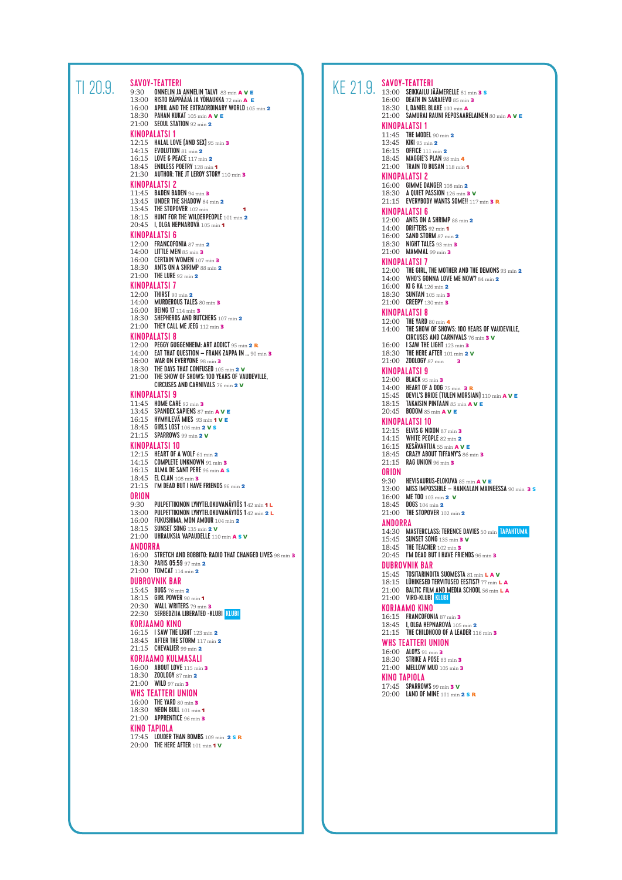| TI 20,9, | SAVOY-TEATTERI<br><b>ONNELIN JA ANNELIN TALVI 83 min A V E</b><br>9:30<br>13:00 RISTO RÄPPÄÄJÄ JA YÖHAUKKA 72 min A E<br>$16:00$ APRIL AND THE EXTRAORDINARY WORLD $105 \text{ min}$ 2<br>18:30 PAHAN KUKAT 105 min A V E<br>$21:00$ SEOUL STATION 92 min 2<br>KINOPALATSI 1<br>12:15 HALAL LOVE $(AND$ SEX $)$ 95 min $3$<br>14:15 EVOLUTION 81 min 2<br>16:15 LOVE & PEACE 117 min 2<br>18:45 <b>ENDLESS POETRY</b> 128 min 1<br>21:30 AUTHOR: THE JT LEROY STORY 110 min 3<br>KINOPALATSI 2<br>11:45 <b>BADEN BADEN</b> 94 min 3<br>13:45 UNDER THE SHADOW 84 min 2<br>15:45 THE STOPOVER 102 min<br>18:15 HUNT FOR THE WILDERPEOPLE 101 min 2<br>20:45 I, OLGA HEPNAROVA 105 min 1<br><b>KINOPALATSI 6</b><br>12:00 FRANCOFONIA 87 min 2<br>14:00 LITTLE MEN $85 \text{ min}$ 3<br>16:00 CERTAIN WOMEN 107 min 3<br>18:30 ANTS ON A SHRIMP 88 min 2<br>$21:00$ THE LURE 92 min $2$<br><b>KINOPALATSI 7</b><br>12:00 THIRST 90 min 2<br>14:00 <b>MURDEROUS TALES</b> 80 min $\overline{\mathbf{3}}$<br>16:00 BEING 17 114 min 3<br>$18:30$ SHEPHERDS AND BUTCHERS $107 \text{ min}$ 2<br>$21:00$ THEY CALL ME JEEG 112 min 3<br><b>KINOPALATSI 8</b><br>12:00 PEGGY GUGGENHEIM: ART ADDICT 95 min 2 R<br>$14:00$ EAT THAT QUESTION - FRANK ZAPPA IN  90 min 3<br>16:00 WAR ON EVERYONE 98 min 3<br>18:30 THE DAYS THAT CONFUSED 105 min 2 V<br>21:00 THE SHOW OF SHOWS: 100 YEARS OF VAUDEVILLE,<br><b>CIRCUSES AND CARNIVALS 76 min 2 V</b><br><b>KINOPALATSI 9</b><br>11:45 HOME CARE 92 min $\frac{3}{5}$<br>13:45 SPANDEX SAPIENS 87 min A V E<br>16:15 HYMYILEVĂ MIES 93 min 1 V E<br>18:45 GIRLS LOST 106 min 2 V s<br>21:15 SPARROWS 99 min 2 V<br><b>KINOPALATSI 10</b><br>12:15 HEART OF A WOLF 61 min 2<br>$14:15$ COMPLETE UNKNOWN $91$ min 3<br>16:15 ALMA DE SANT PERE 96 min A S<br>18:45 <b>EL CLAN</b> 108 min <b>3</b><br>21:15 I'M DEAD BUT I HAVE FRIENDS 96 min 2<br>ORION<br>PULPETTIKINON LYHYTELOKUVANÄYTÖS 142 min 1L<br>9:30<br>13:00 PULPETTIKINON LYHYTELOKUVANÄYTÖS 142 min 2 L<br>16:00 FUKUSHIMA, MON AMOUR 104 min 2<br>18:15 SUNSET SONG 135 min 2 V<br>21:00 UHRAUKSIA VAPAUDELLE 110 min A S V<br><b>ANDORRA</b><br>16:00 STRETCH AND BOBBITO: RADIO THAT CHANGED LIVES 98 min 3<br>18:30 PARIS 05:59 97 min 2<br>21:00 <b>TOMCAT</b> 114 min 2<br><b>DUBROVNIK BAR</b><br>15:45 BUGS 76 min 2<br>18:15 GIRL POWER 90 min 1<br>20:30 WALL WRITERS 79 min 3<br>22:30 SERBEDZIJA LIBERATED -KLUBI KLUBI<br>KORJAAMO KINO<br>16:15 I SAW THE LIGHT 123 min 2<br>18:45 AFTER THE STORM $117 \text{ min } 2$<br>$21:15$ CHEVALIER 99 min $2$<br>KORJAAMO KULMASALI<br>16:00 ABOUT LOVE 115 min 3<br>18:30 <b>ZOOLOGY</b> 87 min 2<br>$21:00$ WILD 97 min 3<br>WHS TEATTERI UNION<br>16:00 THE YARD 80 min 3<br>18:30 NEON BULL 101 min 1<br>21:00 APPRENTICE $96 \text{ min}$ 3<br>KINO TAPIOLA<br>17:45 LOUDER THAN BOMBS 109 min 2 S R<br>20:00 THE HERE AFTER 101 min 1 V | KE 21.9. | <b>SAVOY-TEATTERI</b><br>13:00 SEIKKAILU JÄÄMERELLE 81 min 3 S<br>16:00 DEATH IN SARAJEVO 85 min 3<br>18:30 I. DANIEL BLAKE 100 min A<br>21:00 SAMURAI RAUNI REPOSAARELAINEI<br><b>KINOPALATSI 1</b><br>11:45 THE MODEL 90 min 2<br>13:45 KIKI 95 min 2<br>16:15 OFFICE 111 min 2<br>18:45 MAGGIE'S PLAN 98 min 4<br>$21:00$ TRAIN TO BUSAN 118 min 1<br><b>KINOPALATSI 2</b><br>16:00 GIMME DANGER 108 min 2<br>18:30 A QUIET PASSION 126 min 3 V<br>21:15 EVERYBODY WANTS SOME !! 117 mi<br><b>KINOPALATSI 6</b><br>12:00 ANTS ON A SHRIMP $88 \text{ min } 2$<br>14:00 DRIFTERS $92 \text{ min } 1$<br>16:00 SAND STORM 87 min 2<br>18:30 NIGHT TALES 93 min $\frac{3}{2}$<br>$21:00$ MAMMAL 99 min 3<br><b>KINOPALATSI 7</b><br>12:00 THE GIRL, THE MOTHER AND THE DE<br>14:00 WHO'S GONNA LOVE ME NOW? 84 1<br>16:00 KICKA 126 min 2<br>18:30 SUNTAN 105 min 3<br>21:00 CREEPY 130 min 3<br><b>KINOPALATSI 8</b><br>12:00 THE YARD 80 min 4<br>14:00 THE SHOW OF SHOWS: 100 YEARS O<br><b>CIRCUSES AND CARNIVALS</b> 76 min<br>16:00 I SAW THE LIGHT 123 min 3<br>18:30 THE HERE AFTER 101 min $2 \text{ V}$<br>21:00 <b>ZOOLOGY</b> 87 min<br>в<br>KINOPALATSI 9<br>12:00 BLACK 95 min 3<br>14:00 HEART OF A DOG 75 min 3 R<br>15:45 DEVIL'S BRIDE (TULEN MORSIAN) 1:<br>18:15 TAKAISIN PINTAAN 85 min $A$ V E<br>20:45 BODOM 85 min A V E<br><b>KINOPALATSI 10</b><br>12:15 ELVIS & NIXON 87 min 3<br>14:15 WHITE PEOPLE 82 min 2<br>16:15 KESÄVARTIJA 55 min A V E<br>18:45 CRAZY ABOUT TIFFANY'S 86 min 3<br>21:15 RAG UNION 96 min 3<br>ORION<br>9:30 HEVISAURUS-ELOKUVA 85 min A V<br>13:00 MISS IMPOSSIBLE - HANKALAN M/<br>16:00 ME TOO 103 min 2 V<br>18:45 DOGS 104 min 2<br>21:00 THE STOPOVER 102 min $2$<br>ANDORRA<br>14:30 MASTERCLASS: TERENCE DAVIES 50<br>15:45 SUNSET SONG 135 min 3 V<br>18:45 THE TEACHER 102 min $\frac{3}{5}$<br>$20:45$ I'M DEAD BUT I HAVE FRIENDS $96 \text{ m}$<br><b>DUBROVNIK BAR</b><br>15:45 TOSITARINOITA SUOMESTA 81 min<br>18:15 LÜHIKESED TERVITUSED EESTIST! 77<br>21:00 BALTIC FILM AND MEDIA SCHOOL 54<br>21:00 VIRO-KLUBI KLUBI<br><b>KORJAAMO KINO</b><br>16:15 FRANCOFONIA 87 min 3<br>18:45 I, OLGA HEPNAROVA 105 min 2<br>$21:15$ THE CHILDHOOD OF A LEADER $116 \text{ m}$<br>WHS TEATTERI UNION<br>16:00 ALOYS 91 min 3<br>18:30 STRIKE A POSE 83 min 3<br>21:00 MELLOW MUD 105 min 3<br><b>KINO TAPIOLA</b><br>17:45 SPARROWS 99 min 3 V<br>20:00 LAND OF MINE 101 min 2 S R |
|----------|--------------------------------------------------------------------------------------------------------------------------------------------------------------------------------------------------------------------------------------------------------------------------------------------------------------------------------------------------------------------------------------------------------------------------------------------------------------------------------------------------------------------------------------------------------------------------------------------------------------------------------------------------------------------------------------------------------------------------------------------------------------------------------------------------------------------------------------------------------------------------------------------------------------------------------------------------------------------------------------------------------------------------------------------------------------------------------------------------------------------------------------------------------------------------------------------------------------------------------------------------------------------------------------------------------------------------------------------------------------------------------------------------------------------------------------------------------------------------------------------------------------------------------------------------------------------------------------------------------------------------------------------------------------------------------------------------------------------------------------------------------------------------------------------------------------------------------------------------------------------------------------------------------------------------------------------------------------------------------------------------------------------------------------------------------------------------------------------------------------------------------------------------------------------------------------------------------------------------------------------------------------------------------------------------------------------------------------------------------------------------------------------------------------------------------------------------------------------------------------------------------------------------------------------------------------------------------------------------------------------------------------------------------------------------------------------------------------------------------------------------------------------------------------------------------------------------------------------------------------------------------------------------------------|----------|-------------------------------------------------------------------------------------------------------------------------------------------------------------------------------------------------------------------------------------------------------------------------------------------------------------------------------------------------------------------------------------------------------------------------------------------------------------------------------------------------------------------------------------------------------------------------------------------------------------------------------------------------------------------------------------------------------------------------------------------------------------------------------------------------------------------------------------------------------------------------------------------------------------------------------------------------------------------------------------------------------------------------------------------------------------------------------------------------------------------------------------------------------------------------------------------------------------------------------------------------------------------------------------------------------------------------------------------------------------------------------------------------------------------------------------------------------------------------------------------------------------------------------------------------------------------------------------------------------------------------------------------------------------------------------------------------------------------------------------------------------------------------------------------------------------------------------------------------------------------------------------------------------------------------------------------------------------------------------------------------------------------------------------------------------------------------------------------------------------------------------------------------------------------------------------------------------------------------------------------------------------------------------------------------------------------------------------------------------------------------------------------------------------------------------------------------|
|          |                                                                                                                                                                                                                                                                                                                                                                                                                                                                                                                                                                                                                                                                                                                                                                                                                                                                                                                                                                                                                                                                                                                                                                                                                                                                                                                                                                                                                                                                                                                                                                                                                                                                                                                                                                                                                                                                                                                                                                                                                                                                                                                                                                                                                                                                                                                                                                                                                                                                                                                                                                                                                                                                                                                                                                                                                                                                                                              |          |                                                                                                                                                                                                                                                                                                                                                                                                                                                                                                                                                                                                                                                                                                                                                                                                                                                                                                                                                                                                                                                                                                                                                                                                                                                                                                                                                                                                                                                                                                                                                                                                                                                                                                                                                                                                                                                                                                                                                                                                                                                                                                                                                                                                                                                                                                                                                                                                                                                 |

```
18:30    I, DANIEL BLAKE 100 min A<br>21:00    SAMURAI RAUNI REPOSAARELAINEN 80 min A V E
KINOPALATSI 1
11:45 THE MODEL 90 min 2<br>13:45 KIKI 95 min 2
16:15 OFFICE 111 min 2
18:45 MAGGIE'S PLAN 98 min 4
21:00 TRAIN TO BUSAN 118 min 1
KINOPALATSI 2
16:00 GIMME DANGER 108 min2
18:30 A QUIET PASSION 126 min3 V
21:15 EVERYBODY WANTS SOME!! 117 min3 R
KINOPALATSI 6
12:00     ANTS ON A SHRIMP 88 min 2<br>14:00     DRIFTERS 92 min 1<br>16:00     SAND STORM 87 min 2
18:30 NIGHT TALES 93 min 3
21:00 MAMMAL 99 min 3
KINOPALATSI 7<br>12:00   THE GIRL, THE MOTHER AND THE DEMONS 93 min 2<br>14:00    WHO'S GONNA LOVE ME NOW? 84 min 2
16:00 KI & KA 126 min 2
18:30 SUNTAN 105 min 3
21:00 CREEPY 130 min 3
KINOPALATSI 8
12:00 THE YARD 80 min 4
14:00 THE SHOW OF SHOWS: 100 YEARS OF VAUDEVILLE.
            CIRCUSES AND CARNIVALS 76 min 3 V
16:00 I SAW THE LIGHT 123 min3
18:30 THE HERE AFTER 101 min2 V
21:00 ZOOLOGY 87 min 3
KINOPALATSI 9
12:00   BLACK 95 min 3<br>14:00   HEART OF A DOG 75 min  3 R<br>15:45   DEVIL'S BRIDE (TULEN MORSIAN) 110 min A V E<br>18:15   TAKAISIN PINTAAN 85 min A V E
20:45 BODOM 85 min A V E
KINOPALATSI 10
12:15 ELVIS & NIXON 87 min 3<br>14:15 WHITE PEOPLE 82 min 2
16:15 KESÄVARTIJA 55 min A V E
18:45 CRAZY ABOUT TIFFANY'S 86 min 3
21:15 RAG UNION 96 min 3
ORION
9:30 HEVISAURUS-ELOKUVA 85 min a v e<br>13:00 MISS IMPOSSIBLE – HANKALAN MAINEESSA 90 min 3 s<br>16:00 ME TOO 103 min 2 v
18:45 DOGS 104 min 2
21:00 THE STOPOVER 102 min 2
ANDORRA
14:30 MASTERCLASS: TERENCE DAVIES 50 min TAPAHTUMA<br>15:45 SUNSET SONG 135 min 3 v
18:45 THE TEACHER 102 min 3<br>20:45 I'M DEAD BUT I HAVE FRIENDS 96 min 3
DUBROVNIK BAR
15:45    TOSITARINOITA SUOMESTA 81 min <mark>L a v</mark><br>18:15    LÜHIKESED TERVITUSED EESTIST! 77 min L a
21:00 BALTIC FILM AND MEDIA SCHOOL 56 min L A
21:00 VIRO-KLUBI KLUBI
KORJAAMO KINO
16:15 FRANCOFONIA 87 min 3<br>18:45 I, OLGA HEPNAROVÁ 105 min 2
21:15 THE CHILDHOOD OF A LEADER 116 min 3
WHS TEATTERI UNION
16:00 ALOYS 91 min 3<br>18:30 STRIKE A POSE 83 min 3<br>21:00 MELLOW MUD 105 min 3
KINO TAPIOLA
17:45 SPARROWS 99 min 3 V<br>20:00 LAND OF MINE 101 min 2 s R
```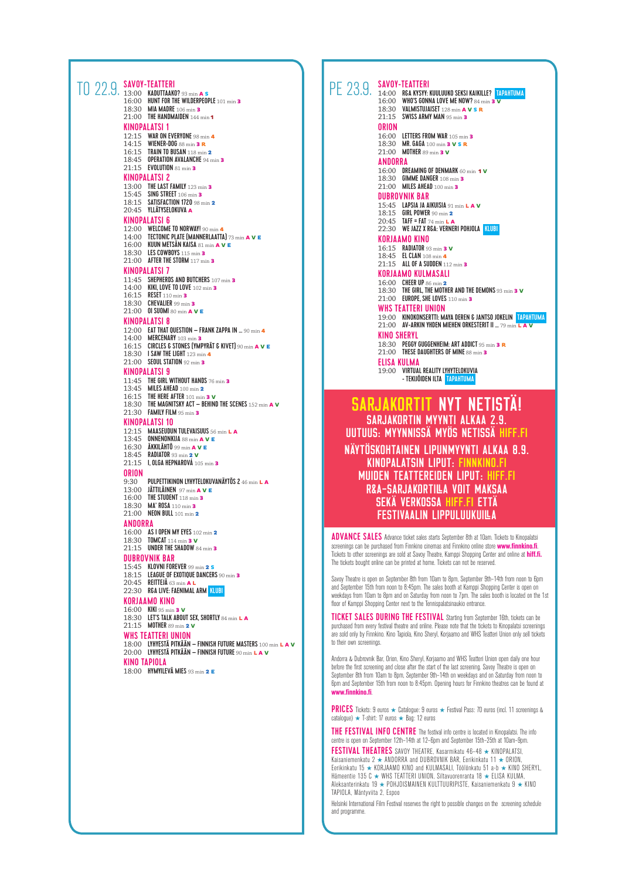| TO 22.9. SAVOY-TEATTERI<br>TO 22.9. 13:00 KADUTTAAKO? 93 min A s<br>16:00 HUNT FOR THE WILDERPEOPLE 101 min 3<br>18:30 MIA MADRE 106 min 3<br>$21:00$ THE HANDMAIDEN 144 min 1<br>KINOPALATSI 1<br>12:15 WAR ON EVERYONE 98 min 4<br>14:15 WIENER-DOG 88 min 3 R<br>16:15 TRAIN TO BUSAN 118 min 2<br>18:45 OPERATION AVALANCHE 94 min 3<br>21:15 EVOLUTION 81 min 3<br>KINOPALATSI 2<br>13:00 THE LAST FAMILY 123 min $\frac{3}{5}$<br>15:45 SING STREET 106 min 3<br>18:15 SATISFACTION 1720 98 min 2<br>20:45 YLLÄTYSELOKUVA A<br><b>KINOPALATSI 6</b><br>12:00 WELCOME TO NORWAY! 90 min 4<br>14:00 <b>TECTONIC PLATE (MANNERLAATTA)</b> 73 min $A$ V E<br>16:00 KUUN METSÄN KAISA 81 min A V E<br>18:30 LES COWBOYS 115 min 3<br>21:00 AFTER THE STORM 117 min 3<br>KINOPALATSI 7<br>11:45 SHEPHERDS AND BUTCHERS 107 min 3<br>14:00 KIKI. LOVE TO LOVE 102 min 3<br>16:15 RESET 110 min 3<br>$18:30$ CHEVALIER 99 min 3<br>21:00 0 SUOM 80 min A V E<br><b>KINOPALATSI 8</b><br>12:00 EAT THAT QUESTION - FRANK ZAPPA IN  90 min 4<br>14:00 <b>MERCENARY</b> 103 min <b>3</b><br>16:15 CIRCLES & STONES (YMPYRÄT & KIVET) 90 min A V E<br>18:30 I SAW THE LIGHT 123 min 4<br>21:00 SEOUL STATION 92 min 3<br><b>KINOPALATSI 9</b><br>11:45 THE GIRL WITHOUT HANDS $76 \text{ min}$ 3<br>13:45 MILES AHEAD $100 \text{ min}$ 2 | PE 23.9.                                                                                                                                                                                                                                                                                                                                                                                                       |
|-------------------------------------------------------------------------------------------------------------------------------------------------------------------------------------------------------------------------------------------------------------------------------------------------------------------------------------------------------------------------------------------------------------------------------------------------------------------------------------------------------------------------------------------------------------------------------------------------------------------------------------------------------------------------------------------------------------------------------------------------------------------------------------------------------------------------------------------------------------------------------------------------------------------------------------------------------------------------------------------------------------------------------------------------------------------------------------------------------------------------------------------------------------------------------------------------------------------------------------------------------------------------------------------------------------------------------------|----------------------------------------------------------------------------------------------------------------------------------------------------------------------------------------------------------------------------------------------------------------------------------------------------------------------------------------------------------------------------------------------------------------|
| 16:15 THE HERE AFTER 101 min 3 V<br>18:30 THE MAGNITSKY ACT - BEHIND THE SCENES 152 min A V<br>$21:30$ FAMILY FILM $95 \text{ min}$ 3<br><b>KINOPALATSI 10</b><br>12:15 MAASEUDUN TULEVAISUUS 56 min L A<br>13:45 ONNENONKIJA 88 min A V E<br>$16:30$ <b>AKKILAHTO</b> 99 min <b>A</b> V E<br>18:45 <b>RADIATOR</b> 93 min 2 V<br>$21:15$ I, OLGA HEPNAROVA 105 min 3<br>ORION<br>PULPETTIKINON LYHYTELOKUVANÄYTÖS 2 46 min L A<br>9:30<br>13:00 JÄTTILÄINEN 97 min A V E<br>$16:00$ THE STUDENT 118 min 3<br>18:30 MA' ROSA 110 min 3<br>21:00 NEON BULL 101 min 2                                                                                                                                                                                                                                                                                                                                                                                                                                                                                                                                                                                                                                                                                                                                                                 | SAR<br>SA<br><b>UUTUUS</b><br><b>NÄYTÖS</b><br>KI<br><b>MUII</b><br>R8                                                                                                                                                                                                                                                                                                                                         |
| ANDORRA<br>16:00 AS I OPEN MY EYES 102 min 2<br>18:30 <b>TOMCAT</b> 114 min <b>3 V</b><br>21:15 UNDER THE SHADOW 84 min 3<br><b>DUBROVNIK BAR</b><br>15:45 KLOVNI FOREVER 99 min 2 s<br>18:15 LEAGUE OF EXOTIQUE DANCERS 90 min 3<br>20:45 <b>REITTEJA</b> 63 min AL<br>22:30 R&A LIVE: FAENIMAL ARM KLUBI<br>KORJAAMO KINO<br>16:00 KIKI 95 min 3 V<br>18:30 LET'S TALK ABOUT SEX, SHORTLY 84 min L A<br>21:15 MOTHER 89 min 2 V<br><b>WHS TEATTERI UNION</b><br>18:00 LYHYESTÄ PITKÄÄN - FINNISH FUTURE MASTERS 100 min LAV<br>20:00 LYHYESTÄ PITKÄÄN – FINNISH FUTURE 90 min L A V<br>KINO TAPIOLA<br>18:00 HYMYILEVÄ MIES 93 min $2 E$                                                                                                                                                                                                                                                                                                                                                                                                                                                                                                                                                                                                                                                                                          | <b>ADVANCE SALI</b><br>screenings can be pu<br>Tickets to other scree<br>The tickets bought or<br>Savoy Theatre is oper<br>and September 15th<br>weekdays from 10am<br>floor of Kamppi Shop<br><b>TICKET SALES</b><br>purchased from every<br>are sold only by Finnl<br>to their own screenin<br>Andorra & Dubrovnik<br>before the first screen<br>September 8th from<br>6pm and September<br>www.finnkino.fi. |

SAVOY-TEATTERI 14:00 R&A KYSYY: KUULUUKO SEKSI KAIKILLE? <mark>Tapahtuma</mark><br>16:00 Who's Gonna Love Me Now? 84 min **3 v** 18:30 VALMISTUJAISET 128 min A V S R 21:15 SWISS ARMY MAN 95 min 3 **ORION** 16:00 LETTERS FROM WAR 105 min 3 18:30 MR. GAGA 100 min 3 V S R 21:00 MOTHER 89 min 3 V ANDORRA 16:00 DREAMING OF DENMARK 60 min 1 v<br>18:30 GIMME DANGER 108 min 3<br>21:00 MILES AHEAD 100 min 3 DUBROVNIK BAR 15:45 LAPSIA JA AIKUISIA 91 min L A V<br>18:15 GIRL POWER 90 min 2  $20:45$  TAFF = FAT  $74 \text{ min L}$ 22:30 WE JAZZ X R&A: VERNERI POHJOLA KLUBI KORJAAMO KINO 16:15 **RADIATOR** 93 min **3 V**<br>18:45 **EL CLAN** 108 min 4 21:15 ALL OF A SUDDEN 112 min 3 KORJAAMO KULMASALI 16:00 CHEER UP 86 min **2**<br>18:30 THE GIRL, THE MOTHER AND THE DEMONS 93 min **3 v** 21:00 **EUROPE, SHE LOVES** 110 min 3 WHS TEATTERI UNION 19:00 KINOKONSERTTI: MAYA DEREN & JANTSO JOKELIN <mark>Tapahtuma</mark><br>21:00 AV-ARKIN YHDEN MIEHEN ORKESTERIT II … 79 min **L A V** KINO SHERYL 18:30 PEGGY GUGGENHEIM: ART ADDICT 95 min 3 R<br>21:00 THESE DAUGHTERS OF MINE 88 min 3 ELISA KULMA 19:00 VIRTUAL REALITY LYHYTELOKUVIA - TEKIJÖIDEN ILTA TAPAHTUMA NÄYTÖSKOHTAINEN LIPUNMYYNTI ALKAA 8.9. KINOPALATSIN LIPUT: F MUIDEN TEATTEREIDEN LIPUT: HIF UUTUUS: MYYNNISSÄ MYÖS NETISSÄ HIFF.FI SARJAKORTIT NYT NETISTÄ! SARJAKORTIN MYYNTI ALKAA 2.9. R&A-SARJAKORTILA VOIT MAKSAA SEKÄ VERKOSSA HIFF.FI ETTÄ FESTIVAALIN LIPPULUUKUILLA

ADVANCE SALES Advance ticket sales starts September 8th at 10am. Tickets to Kinopalatsi screenings can be purchased from Finnkino cinemas and Finnkino online store **www.finnkino.fi**. Tickets to other screenings are sold at Savoy Theatre, Kamppi Shopping Center and online at **hiff.fi.** The tickets bought online can be printed at home. Tickets can not be reserved.

Savoy Theatre is open on September 8th from 10am to 8pm, September 9th–14th from noon to 6pm and September 15th from noon to 8:45pm. The sales booth at Kamppi Shopping Center is open on weekdays from 10am to 8pm and on Saturday from noon to 7pm. The sales booth is located on the 1st floor of Kamppi Shopping Center next to the Tennispalatsinaukio entrance.

TICKET SALES DURING THE FESTIVAL Starting from September 16th, tickets can be purchased from every festival theatre and online. Please note that the tickets to Kinopalatsi screenings are sold only by Finnkino. Kino Tapiola, Kino Sheryl, Korjaamo and WHS Teatteri Union only sell tickets to their own screenings.

Andorra & Dubrovnik Bar, Orion, Kino Sheryl, Korjaamo and WHS Teatteri Union open daily one hour before the first screening and close after the start of the last screening. Savoy Theatre is open on September 8th from 10am to 8pm, September 9th–14th on weekdays and on Saturday from noon to 6pm and September 15th from noon to 8:45pm. Opening hours for Finnkino theatres can be found at **www.finnkino.fi**.

**PRICES** Tickets: 9 euros  $\star$  Catalogue: 9 euros  $\star$  Festival Pass: 70 euros (incl. 11 screenings & catalogue) ★ T-shirt: 17 euros ★ Bag: 12 euros

THE FESTIVAL INFO CENTRE The festival info centre is located in Kinopalatsi. The info centre is open on September 12th–14th at 12–6pm and September 15th–25th at 10am–9pm.

**FESTIVAL THEATRES** SAVOY THEATRE, Kasarmikatu 46-48 ★ KINOPALATSI, Kaisaniemenkatu 2 ★ ANDORRA and DUBROVNIK BAR, Eerikinkatu 11 ★ ORION, Eerikinkatu 15 ★ KORJAAMO KINO and KULMASALI, Töölönkatu 51 a-b ★ KINO SHERYL, Hämeentie 135 C ★ WHS TEATTERI UNION, Siltavuorenranta 18 ★ ELISA KULMA,<br>Aleksanterinkatu 19 ★ POHJOISMAINEN KULTTUURIPISTE, Kaisaniemenkatu 9 ★ KINO TAPIOLA, Mäntyviita 2, Espoo

Helsinki International Film Festival reserves the right to possible changes on the screening schedule and programme.